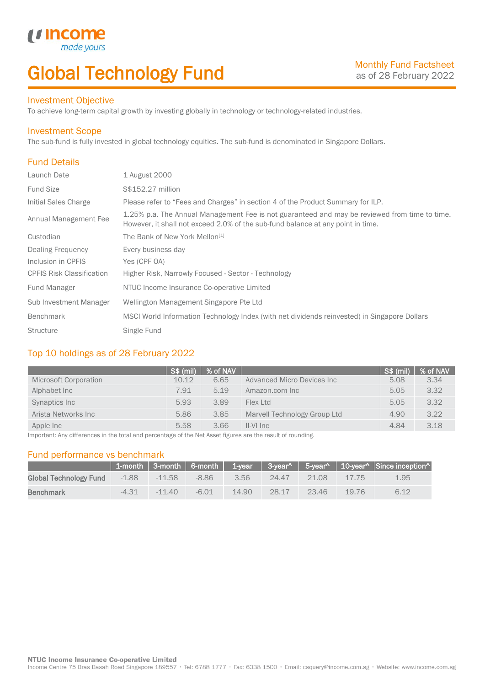# Global Technology Fund

## Investment Objective

made

*u* incom

To achieve long-term capital growth by investing globally in technology or technology-related industries.

### Investment Scope

The sub-fund is fully invested in global technology equities. The sub-fund is denominated in Singapore Dollars.

# Fund Details

I

| Launch Date                      | 1 August 2000                                                                                                                                                                    |
|----------------------------------|----------------------------------------------------------------------------------------------------------------------------------------------------------------------------------|
| <b>Fund Size</b>                 | S\$152.27 million                                                                                                                                                                |
| Initial Sales Charge             | Please refer to "Fees and Charges" in section 4 of the Product Summary for ILP.                                                                                                  |
| Annual Management Fee            | 1.25% p.a. The Annual Management Fee is not guaranteed and may be reviewed from time to time.<br>However, it shall not exceed 2.0% of the sub-fund balance at any point in time. |
| Custodian                        | The Bank of New York Mellon <sup>[1]</sup>                                                                                                                                       |
| <b>Dealing Frequency</b>         | Every business day                                                                                                                                                               |
| Inclusion in CPFIS               | Yes (CPF OA)                                                                                                                                                                     |
| <b>CPFIS Risk Classification</b> | Higher Risk, Narrowly Focused - Sector - Technology                                                                                                                              |
| <b>Fund Manager</b>              | NTUC Income Insurance Co-operative Limited                                                                                                                                       |
| Sub Investment Manager           | Wellington Management Singapore Pte Ltd                                                                                                                                          |
| <b>Benchmark</b>                 | MSCI World Information Technology Index (with net dividends reinvested) in Singapore Dollars                                                                                     |
| <b>Structure</b>                 | Single Fund                                                                                                                                                                      |

# Top 10 holdings as of 28 February 2022

|                       | <b>S\$ (mil)</b> | % of NAV |                              | S\$ (mil) | % of NAV |
|-----------------------|------------------|----------|------------------------------|-----------|----------|
| Microsoft Corporation | 10.12            | 6.65     | Advanced Micro Devices Inc.  | 5.08      | 3.34     |
| Alphabet Inc          | 7.91             | 5.19     | Amazon.com Inc               | 5.05      | 3.32     |
| Synaptics Inc         | 5.93             | 3.89     | Flex Ltd                     | 5.05      | 3.32     |
| Arista Networks Inc   | 5.86             | 3.85     | Marvell Technology Group Ltd | 4.90      | 3.22     |
| Apple Inc             | 5.58             | 3.66     | $II-VI$ Inc                  | 4.84      | 3.18     |

Important: Any differences in the total and percentage of the Net Asset figures are the result of rounding.

### Fund performance vs benchmark

|                        |         |          |         |       |       |       |       | $\parallel$ 1-month   3-month   6-month   1-year   3-year^   5-year^   10-year^   Since inception^ |
|------------------------|---------|----------|---------|-------|-------|-------|-------|----------------------------------------------------------------------------------------------------|
| Global Technology Fund | $-1.88$ | $-11.58$ | $-8.86$ | 3.56  | 24.47 | 21.08 | 17.75 | 1.95                                                                                               |
| <b>Benchmark</b>       | $-4.31$ | $-11.40$ | $-6.01$ | 14.90 | 28.17 | 23.46 | 19.76 | 6.12                                                                                               |

Income Centre 75 Bras Basah Road Singapore 189557 · Tel: 6788 1777 · Fax: 6338 1500 · Email: csquery@income.com.sg · Website: www.income.com.sg